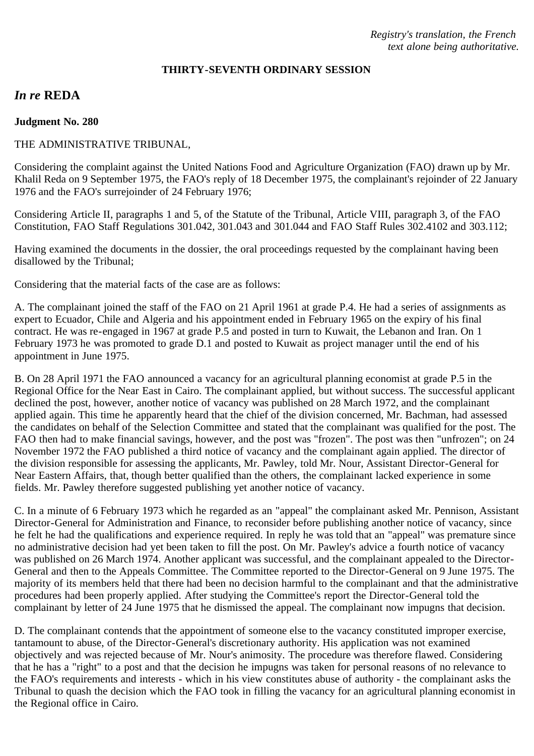#### **THIRTY-SEVENTH ORDINARY SESSION**

# *In re* **REDA**

#### **Judgment No. 280**

### THE ADMINISTRATIVE TRIBUNAL,

Considering the complaint against the United Nations Food and Agriculture Organization (FAO) drawn up by Mr. Khalil Reda on 9 September 1975, the FAO's reply of 18 December 1975, the complainant's rejoinder of 22 January 1976 and the FAO's surrejoinder of 24 February 1976;

Considering Article II, paragraphs 1 and 5, of the Statute of the Tribunal, Article VIII, paragraph 3, of the FAO Constitution, FAO Staff Regulations 301.042, 301.043 and 301.044 and FAO Staff Rules 302.4102 and 303.112;

Having examined the documents in the dossier, the oral proceedings requested by the complainant having been disallowed by the Tribunal;

Considering that the material facts of the case are as follows:

A. The complainant joined the staff of the FAO on 21 April 1961 at grade P.4. He had a series of assignments as expert to Ecuador, Chile and Algeria and his appointment ended in February 1965 on the expiry of his final contract. He was re-engaged in 1967 at grade P.5 and posted in turn to Kuwait, the Lebanon and Iran. On 1 February 1973 he was promoted to grade D.1 and posted to Kuwait as project manager until the end of his appointment in June 1975.

B. On 28 April 1971 the FAO announced a vacancy for an agricultural planning economist at grade P.5 in the Regional Office for the Near East in Cairo. The complainant applied, but without success. The successful applicant declined the post, however, another notice of vacancy was published on 28 March 1972, and the complainant applied again. This time he apparently heard that the chief of the division concerned, Mr. Bachman, had assessed the candidates on behalf of the Selection Committee and stated that the complainant was qualified for the post. The FAO then had to make financial savings, however, and the post was "frozen". The post was then "unfrozen"; on 24 November 1972 the FAO published a third notice of vacancy and the complainant again applied. The director of the division responsible for assessing the applicants, Mr. Pawley, told Mr. Nour, Assistant Director-General for Near Eastern Affairs, that, though better qualified than the others, the complainant lacked experience in some fields. Mr. Pawley therefore suggested publishing yet another notice of vacancy.

C. In a minute of 6 February 1973 which he regarded as an "appeal" the complainant asked Mr. Pennison, Assistant Director-General for Administration and Finance, to reconsider before publishing another notice of vacancy, since he felt he had the qualifications and experience required. In reply he was told that an "appeal" was premature since no administrative decision had yet been taken to fill the post. On Mr. Pawley's advice a fourth notice of vacancy was published on 26 March 1974. Another applicant was successful, and the complainant appealed to the Director-General and then to the Appeals Committee. The Committee reported to the Director-General on 9 June 1975. The majority of its members held that there had been no decision harmful to the complainant and that the administrative procedures had been properly applied. After studying the Committee's report the Director-General told the complainant by letter of 24 June 1975 that he dismissed the appeal. The complainant now impugns that decision.

D. The complainant contends that the appointment of someone else to the vacancy constituted improper exercise, tantamount to abuse, of the Director-General's discretionary authority. His application was not examined objectively and was rejected because of Mr. Nour's animosity. The procedure was therefore flawed. Considering that he has a "right" to a post and that the decision he impugns was taken for personal reasons of no relevance to the FAO's requirements and interests - which in his view constitutes abuse of authority - the complainant asks the Tribunal to quash the decision which the FAO took in filling the vacancy for an agricultural planning economist in the Regional office in Cairo.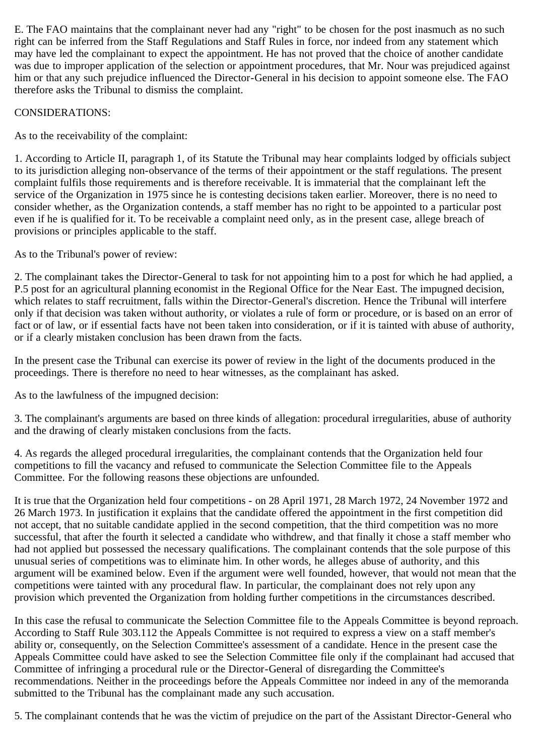E. The FAO maintains that the complainant never had any "right" to be chosen for the post inasmuch as no such right can be inferred from the Staff Regulations and Staff Rules in force, nor indeed from any statement which may have led the complainant to expect the appointment. He has not proved that the choice of another candidate was due to improper application of the selection or appointment procedures, that Mr. Nour was prejudiced against him or that any such prejudice influenced the Director-General in his decision to appoint someone else. The FAO therefore asks the Tribunal to dismiss the complaint.

## CONSIDERATIONS:

As to the receivability of the complaint:

1. According to Article II, paragraph 1, of its Statute the Tribunal may hear complaints lodged by officials subject to its jurisdiction alleging non-observance of the terms of their appointment or the staff regulations. The present complaint fulfils those requirements and is therefore receivable. It is immaterial that the complainant left the service of the Organization in 1975 since he is contesting decisions taken earlier. Moreover, there is no need to consider whether, as the Organization contends, a staff member has no right to be appointed to a particular post even if he is qualified for it. To be receivable a complaint need only, as in the present case, allege breach of provisions or principles applicable to the staff.

As to the Tribunal's power of review:

2. The complainant takes the Director-General to task for not appointing him to a post for which he had applied, a P.5 post for an agricultural planning economist in the Regional Office for the Near East. The impugned decision, which relates to staff recruitment, falls within the Director-General's discretion. Hence the Tribunal will interfere only if that decision was taken without authority, or violates a rule of form or procedure, or is based on an error of fact or of law, or if essential facts have not been taken into consideration, or if it is tainted with abuse of authority, or if a clearly mistaken conclusion has been drawn from the facts.

In the present case the Tribunal can exercise its power of review in the light of the documents produced in the proceedings. There is therefore no need to hear witnesses, as the complainant has asked.

As to the lawfulness of the impugned decision:

3. The complainant's arguments are based on three kinds of allegation: procedural irregularities, abuse of authority and the drawing of clearly mistaken conclusions from the facts.

4. As regards the alleged procedural irregularities, the complainant contends that the Organization held four competitions to fill the vacancy and refused to communicate the Selection Committee file to the Appeals Committee. For the following reasons these objections are unfounded.

It is true that the Organization held four competitions - on 28 April 1971, 28 March 1972, 24 November 1972 and 26 March 1973. In justification it explains that the candidate offered the appointment in the first competition did not accept, that no suitable candidate applied in the second competition, that the third competition was no more successful, that after the fourth it selected a candidate who withdrew, and that finally it chose a staff member who had not applied but possessed the necessary qualifications. The complainant contends that the sole purpose of this unusual series of competitions was to eliminate him. In other words, he alleges abuse of authority, and this argument will be examined below. Even if the argument were well founded, however, that would not mean that the competitions were tainted with any procedural flaw. In particular, the complainant does not rely upon any provision which prevented the Organization from holding further competitions in the circumstances described.

In this case the refusal to communicate the Selection Committee file to the Appeals Committee is beyond reproach. According to Staff Rule 303.112 the Appeals Committee is not required to express a view on a staff member's ability or, consequently, on the Selection Committee's assessment of a candidate. Hence in the present case the Appeals Committee could have asked to see the Selection Committee file only if the complainant had accused that Committee of infringing a procedural rule or the Director-General of disregarding the Committee's recommendations. Neither in the proceedings before the Appeals Committee nor indeed in any of the memoranda submitted to the Tribunal has the complainant made any such accusation.

5. The complainant contends that he was the victim of prejudice on the part of the Assistant Director-General who